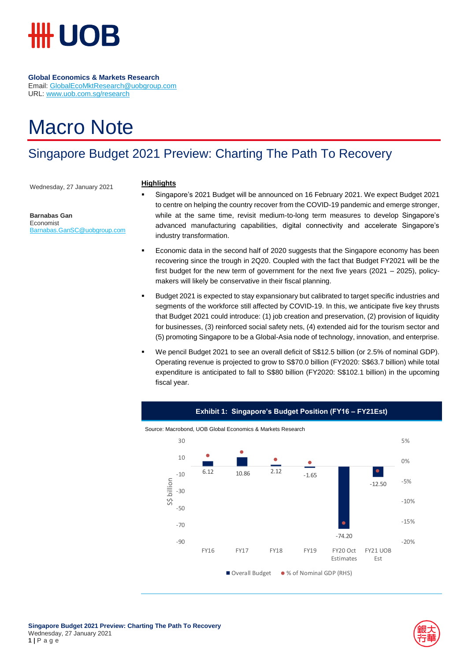### HUOB

**Global Economics & Markets Research** Email[: GlobalEcoMktResearch@uobgroup.com](mailto:GlobalEcoMktResearch@uobgroup.com) URL: www.uob.com.sg/research

### Macro Note

### Singapore Budget 2021 Preview: Charting The Path To Recovery

Wednesday, 27 January 2021

[Barnabas.GanSC@uobgroup.com](mailto:Barnabas.GanSC@uobgroup.com)

**Barnabas Gan** Economist

#### **Highlights**

- Singapore's 2021 Budget will be announced on 16 February 2021. We expect Budget 2021 to centre on helping the country recover from the COVID-19 pandemic and emerge stronger, while at the same time, revisit medium-to-long term measures to develop Singapore's advanced manufacturing capabilities, digital connectivity and accelerate Singapore's industry transformation.
- Economic data in the second half of 2020 suggests that the Singapore economy has been recovering since the trough in 2Q20. Coupled with the fact that Budget FY2021 will be the first budget for the new term of government for the next five years (2021 – 2025), policymakers will likely be conservative in their fiscal planning.
- Budget 2021 is expected to stay expansionary but calibrated to target specific industries and segments of the workforce still affected by COVID-19. In this, we anticipate five key thrusts that Budget 2021 could introduce: (1) job creation and preservation, (2) provision of liquidity for businesses, (3) reinforced social safety nets, (4) extended aid for the tourism sector and (5) promoting Singapore to be a Global-Asia node of technology, innovation, and enterprise.
- We pencil Budget 2021 to see an overall deficit of S\$12.5 billion (or 2.5% of nominal GDP). Operating revenue is projected to grow to S\$70.0 billion (FY2020: S\$63.7 billion) while total expenditure is anticipated to fall to S\$80 billion (FY2020: S\$102.1 billion) in the upcoming fiscal year.



#### **Exhibit 1: Singapore's Budget Position (FY16 – FY21Est)**

Source: Macrobond, UOB Global Economics & Markets Research

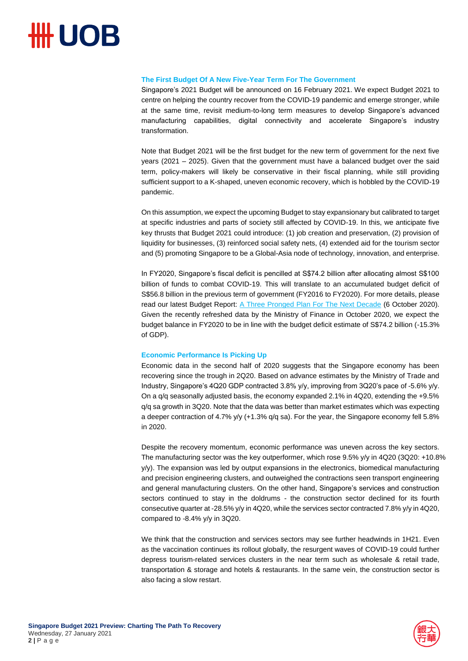#### **The First Budget Of A New Five-Year Term For The Government**

Singapore's 2021 Budget will be announced on 16 February 2021. We expect Budget 2021 to centre on helping the country recover from the COVID-19 pandemic and emerge stronger, while at the same time, revisit medium-to-long term measures to develop Singapore's advanced manufacturing capabilities, digital connectivity and accelerate Singapore's industry transformation.

Note that Budget 2021 will be the first budget for the new term of government for the next five years (2021 – 2025). Given that the government must have a balanced budget over the said term, policy-makers will likely be conservative in their fiscal planning, while still providing sufficient support to a K-shaped, uneven economic recovery, which is hobbled by the COVID-19 pandemic.

On this assumption, we expect the upcoming Budget to stay expansionary but calibrated to target at specific industries and parts of society still affected by COVID-19. In this, we anticipate five key thrusts that Budget 2021 could introduce: (1) job creation and preservation, (2) provision of liquidity for businesses, (3) reinforced social safety nets, (4) extended aid for the tourism sector and (5) promoting Singapore to be a Global-Asia node of technology, innovation, and enterprise.

In FY2020, Singapore's fiscal deficit is pencilled at S\$74.2 billion after allocating almost S\$100 billion of funds to combat COVID-19. This will translate to an accumulated budget deficit of S\$56.8 billion in the previous term of government (FY2016 to FY2020). For more details, please read our latest Budget Report: [A Three Pronged Plan For The Next Decade](https://www.uobgroup.com/web-resources/uobgroup/pdf/research/MN_201006.pdf) (6 October 2020). Given the recently refreshed data by the Ministry of Finance in October 2020, we expect the budget balance in FY2020 to be in line with the budget deficit estimate of S\$74.2 billion (-15.3% of GDP).

#### **Economic Performance Is Picking Up**

Economic data in the second half of 2020 suggests that the Singapore economy has been recovering since the trough in 2Q20. Based on advance estimates by the Ministry of Trade and Industry, Singapore's 4Q20 GDP contracted 3.8% y/y, improving from 3Q20's pace of -5.6% y/y. On a q/q seasonally adjusted basis, the economy expanded 2.1% in 4Q20, extending the +9.5% q/q sa growth in 3Q20. Note that the data was better than market estimates which was expecting a deeper contraction of 4.7% y/y (+1.3% q/q sa). For the year, the Singapore economy fell 5.8% in 2020.

Despite the recovery momentum, economic performance was uneven across the key sectors. The manufacturing sector was the key outperformer, which rose 9.5% y/y in 4Q20 (3Q20: +10.8%  $y/y$ ). The expansion was led by output expansions in the electronics, biomedical manufacturing and precision engineering clusters, and outweighed the contractions seen transport engineering and general manufacturing clusters. On the other hand, Singapore's services and construction sectors continued to stay in the doldrums - the construction sector declined for its fourth consecutive quarter at -28.5% y/y in 4Q20, while the services sector contracted 7.8% y/y in 4Q20, compared to -8.4% y/y in 3Q20.

We think that the construction and services sectors may see further headwinds in 1H21. Even as the vaccination continues its rollout globally, the resurgent waves of COVID-19 could further depress tourism-related services clusters in the near term such as wholesale & retail trade, transportation & storage and hotels & restaurants. In the same vein, the construction sector is also facing a slow restart.

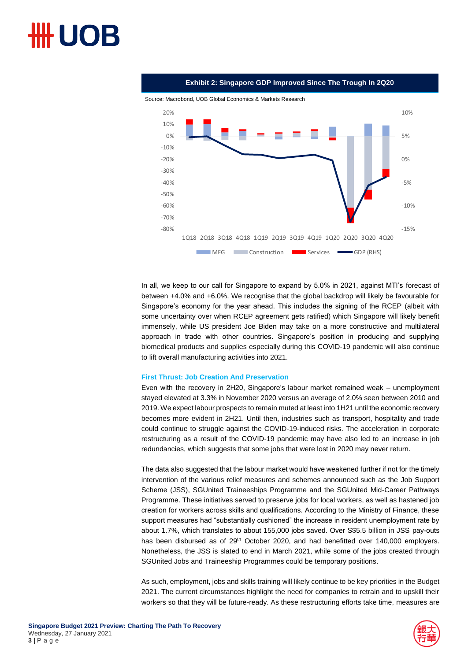

In all, we keep to our call for Singapore to expand by 5.0% in 2021, against MTI's forecast of between +4.0% and +6.0%. We recognise that the global backdrop will likely be favourable for Singapore's economy for the year ahead. This includes the signing of the RCEP (albeit with some uncertainty over when RCEP agreement gets ratified) which Singapore will likely benefit immensely, while US president Joe Biden may take on a more constructive and multilateral approach in trade with other countries. Singapore's position in producing and supplying biomedical products and supplies especially during this COVID-19 pandemic will also continue to lift overall manufacturing activities into 2021.

#### **First Thrust: Job Creation And Preservation**

Even with the recovery in 2H20, Singapore's labour market remained weak – unemployment stayed elevated at 3.3% in November 2020 versus an average of 2.0% seen between 2010 and 2019. We expect labour prospects to remain muted at least into 1H21 until the economic recovery becomes more evident in 2H21. Until then, industries such as transport, hospitality and trade could continue to struggle against the COVID-19-induced risks. The acceleration in corporate restructuring as a result of the COVID-19 pandemic may have also led to an increase in job redundancies, which suggests that some jobs that were lost in 2020 may never return.

The data also suggested that the labour market would have weakened further if not for the timely intervention of the various relief measures and schemes announced such as the Job Support Scheme (JSS), SGUnited Traineeships Programme and the SGUnited Mid-Career Pathways Programme. These initiatives served to preserve jobs for local workers, as well as hastened job creation for workers across skills and qualifications. According to the Ministry of Finance, these support measures had "substantially cushioned" the increase in resident unemployment rate by about 1.7%, which translates to about 155,000 jobs saved. Over S\$5.5 billion in JSS pay-outs has been disbursed as of 29<sup>th</sup> October 2020, and had benefitted over 140,000 employers. Nonetheless, the JSS is slated to end in March 2021, while some of the jobs created through SGUnited Jobs and Traineeship Programmes could be temporary positions.

As such, employment, jobs and skills training will likely continue to be key priorities in the Budget 2021. The current circumstances highlight the need for companies to retrain and to upskill their workers so that they will be future-ready. As these restructuring efforts take time, measures are

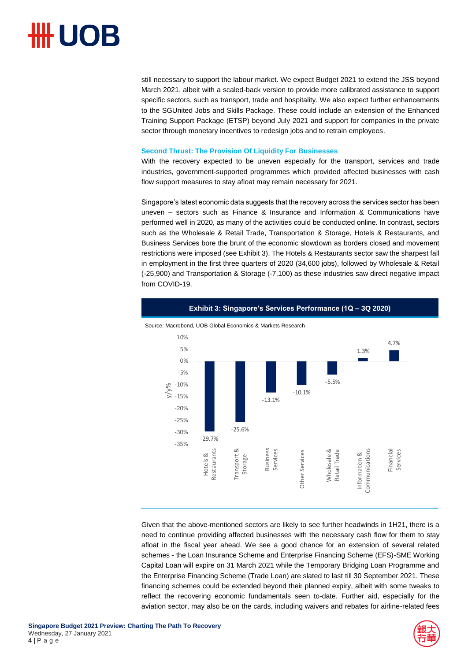### **##UOB**

still necessary to support the labour market. We expect Budget 2021 to extend the JSS beyond March 2021, albeit with a scaled-back version to provide more calibrated assistance to support specific sectors, such as transport, trade and hospitality. We also expect further enhancements to the SGUnited Jobs and Skills Package. These could include an extension of the Enhanced Training Support Package (ETSP) beyond July 2021 and support for companies in the private sector through monetary incentives to redesign jobs and to retrain employees.

#### **Second Thrust: The Provision Of Liquidity For Businesses**

With the recovery expected to be uneven especially for the transport, services and trade industries, government-supported programmes which provided affected businesses with cash flow support measures to stay afloat may remain necessary for 2021.

Singapore's latest economic data suggests that the recovery across the services sector has been uneven – sectors such as Finance & Insurance and Information & Communications have performed well in 2020, as many of the activities could be conducted online. In contrast, sectors such as the Wholesale & Retail Trade, Transportation & Storage, Hotels & Restaurants, and Business Services bore the brunt of the economic slowdown as borders closed and movement restrictions were imposed (see Exhibit 3). The Hotels & Restaurants sector saw the sharpest fall in employment in the first three quarters of 2020 (34,600 jobs), followed by Wholesale & Retail (-25,900) and Transportation & Storage (-7,100) as these industries saw direct negative impact from COVID-19.



Given that the above-mentioned sectors are likely to see further headwinds in 1H21, there is a need to continue providing affected businesses with the necessary cash flow for them to stay afloat in the fiscal year ahead. We see a good chance for an extension of several related schemes - the Loan Insurance Scheme and Enterprise Financing Scheme (EFS)-SME Working Capital Loan will expire on 31 March 2021 while the Temporary Bridging Loan Programme and the Enterprise Financing Scheme (Trade Loan) are slated to last till 30 September 2021. These financing schemes could be extended beyond their planned expiry, albeit with some tweaks to reflect the recovering economic fundamentals seen to-date. Further aid, especially for the aviation sector, may also be on the cards, including waivers and rebates for airline-related fees

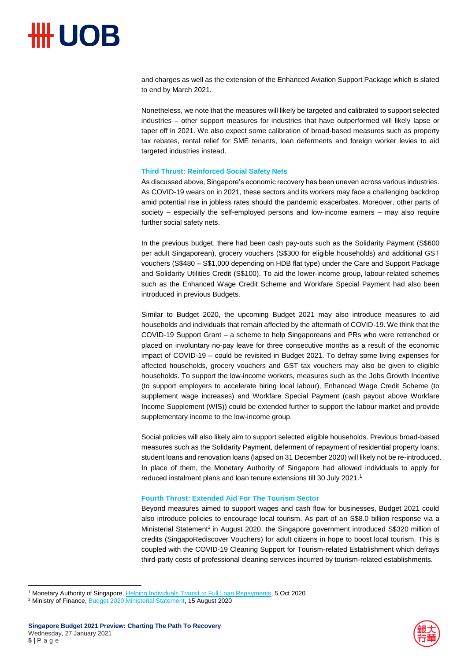and charges as well as the extension of the Enhanced Aviation Support Package which is slated to end by March 2021.

Nonetheless, we note that the measures will likely be targeted and calibrated to support selected industries – other support measures for industries that have outperformed will likely lapse or taper off in 2021. We also expect some calibration of broad-based measures such as property tax rebates, rental relief for SME tenants, loan deferments and foreign worker levies to aid targeted industries instead.

#### **Third Thrust: Reinforced Social Safety Nets**

As discussed above, Singapore's economic recovery has been uneven across various industries. As COVID-19 wears on in 2021, these sectors and its workers may face a challenging backdrop amid potential rise in jobless rates should the pandemic exacerbates. Moreover, other parts of society – especially the self-employed persons and low-income earners – may also require further social safety nets.

In the previous budget, there had been cash pay-outs such as the Solidarity Payment (S\$600 per adult Singaporean), grocery vouchers (S\$300 for eligible households) and additional GST vouchers (S\$480 – S\$1,000 depending on HDB flat type) under the Care and Support Package and Solidarity Utilities Credit (S\$100). To aid the lower-income group, labour-related schemes such as the Enhanced Wage Credit Scheme and Workfare Special Payment had also been introduced in previous Budgets.

Similar to Budget 2020, the upcoming Budget 2021 may also introduce measures to aid households and individuals that remain affected by the aftermath of COVID-19. We think that the COVID-19 Support Grant – a scheme to help Singaporeans and PRs who were retrenched or placed on involuntary no-pay leave for three consecutive months as a result of the economic impact of COVID-19 – could be revisited in Budget 2021. To defray some living expenses for affected households, grocery vouchers and GST tax vouchers may also be given to eligible households. To support the low-income workers, measures such as the Jobs Growth Incentive (to support employers to accelerate hiring local labour), Enhanced Wage Credit Scheme (to supplement wage increases) and Workfare Special Payment (cash payout above Workfare Income Supplement (WIS)) could be extended further to support the labour market and provide supplementary income to the low-income group.

Social policies will also likely aim to support selected eligible households. Previous broad-based measures such as the Solidarity Payment, deferment of repayment of residential property loans, student loans and renovation loans (lapsed on 31 December 2020) will likely not be re-introduced. In place of them, the Monetary Authority of Singapore had allowed individuals to apply for reduced instalment plans and loan tenure extensions till 30 July 2021.<sup>1</sup>

#### **Fourth Thrust: Extended Aid For The Tourism Sector**

Beyond measures aimed to support wages and cash flow for businesses, Budget 2021 could also introduce policies to encourage local tourism. As part of an S\$8.0 billion response via a Ministerial Statement<sup>2</sup> in August 2020, the Singapore government introduced S\$320 million of credits (SingapoRediscover Vouchers) for adult citizens in hope to boost local tourism. This is coupled with the COVID-19 Cleaning Support for Tourism-related Establishment which defrays third-party costs of professional cleaning services incurred by tourism-related establishments.

<u>.</u>



<sup>&</sup>lt;sup>1</sup> Monetary Authority of Singapore[, Helping Individuals Transit to Full Loan Repayments,](https://www.mas.gov.sg/regulation/covid-19/supporting-individuals-through-covid-19/helping-individuals-transit-to-full-loan-repayments) 5 Oct 2020

<sup>&</sup>lt;sup>2</sup> Ministry of Finance, **Budget 2020 Ministerial Statement**, 15 August 2020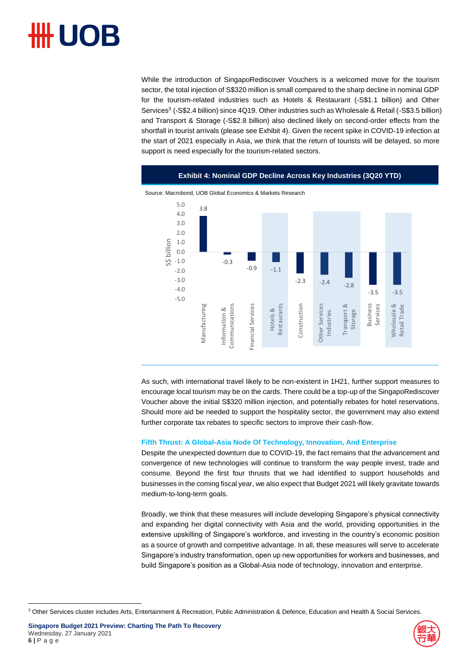### **##UOB**

While the introduction of SingapoRediscover Vouchers is a welcomed move for the tourism sector, the total injection of S\$320 million is small compared to the sharp decline in nominal GDP for the tourism-related industries such as Hotels & Restaurant (-S\$1.1 billion) and Other Services<sup>3</sup> (-S\$2.4 billion) since 4Q19. Other industries such as Wholesale & Retail (-S\$3.5 billion) and Transport & Storage (-S\$2.8 billion) also declined likely on second-order effects from the shortfall in tourist arrivals (please see Exhibit 4). Given the recent spike in COVID-19 infection at the start of 2021 especially in Asia, we think that the return of tourists will be delayed, so more support is need especially for the tourism-related sectors.

**Exhibit 4: Nominal GDP Decline Across Key Industries (3Q20 YTD)**



Source: Macrobond, UOB Global Economics & Markets Research

As such, with international travel likely to be non-existent in 1H21, further support measures to encourage local tourism may be on the cards. There could be a top-up of the SingapoRediscover Voucher above the initial S\$320 million injection, and potentially rebates for hotel reservations. Should more aid be needed to support the hospitality sector, the government may also extend further corporate tax rebates to specific sectors to improve their cash-flow.

#### **Fifth Thrust: A Global-Asia Node Of Technology, Innovation, And Enterprise**

Despite the unexpected downturn due to COVID-19, the fact remains that the advancement and convergence of new technologies will continue to transform the way people invest, trade and consume. Beyond the first four thrusts that we had identified to support households and businesses in the coming fiscal year, we also expect that Budget 2021 will likely gravitate towards medium-to-long-term goals.

Broadly, we think that these measures will include developing Singapore's physical connectivity and expanding her digital connectivity with Asia and the world, providing opportunities in the extensive upskilling of Singapore's workforce, and investing in the country's economic position as a source of growth and competitive advantage. In all, these measures will serve to accelerate Singapore's industry transformation, open up new opportunities for workers and businesses, and build Singapore's position as a Global-Asia node of technology, innovation and enterprise.



<sup>1</sup>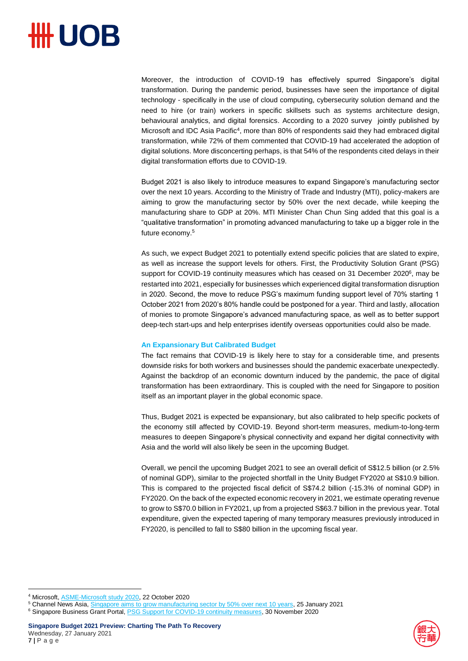Moreover, the introduction of COVID-19 has effectively spurred Singapore's digital transformation. During the pandemic period, businesses have seen the importance of digital technology - specifically in the use of cloud computing, cybersecurity solution demand and the need to hire (or train) workers in specific skillsets such as systems architecture design, behavioural analytics, and digital forensics. According to a 2020 survey jointly published by Microsoft and IDC Asia Pacific<sup>4</sup>, more than 80% of respondents said they had embraced digital transformation, while 72% of them commented that COVID-19 had accelerated the adoption of digital solutions. More disconcerting perhaps, is that 54% of the respondents cited delays in their digital transformation efforts due to COVID-19.

Budget 2021 is also likely to introduce measures to expand Singapore's manufacturing sector over the next 10 years. According to the Ministry of Trade and Industry (MTI), policy-makers are aiming to grow the manufacturing sector by 50% over the next decade, while keeping the manufacturing share to GDP at 20%. MTI Minister Chan Chun Sing added that this goal is a "qualitative transformation" in promoting advanced manufacturing to take up a bigger role in the future economy.<sup>5</sup>

As such, we expect Budget 2021 to potentially extend specific policies that are slated to expire, as well as increase the support levels for others. First, the Productivity Solution Grant (PSG) support for COVID-19 continuity measures which has ceased on 31 December 2020 $^6$ , may be restarted into 2021, especially for businesses which experienced digital transformation disruption in 2020. Second, the move to reduce PSG's maximum funding support level of 70% starting 1 October 2021 from 2020's 80% handle could be postponed for a year. Third and lastly, allocation of monies to promote Singapore's advanced manufacturing space, as well as to better support deep-tech start-ups and help enterprises identify overseas opportunities could also be made.

#### **An Expansionary But Calibrated Budget**

The fact remains that COVID-19 is likely here to stay for a considerable time, and presents downside risks for both workers and businesses should the pandemic exacerbate unexpectedly. Against the backdrop of an economic downturn induced by the pandemic, the pace of digital transformation has been extraordinary. This is coupled with the need for Singapore to position itself as an important player in the global economic space.

Thus, Budget 2021 is expected be expansionary, but also calibrated to help specific pockets of the economy still affected by COVID-19. Beyond short-term measures, medium-to-long-term measures to deepen Singapore's physical connectivity and expand her digital connectivity with Asia and the world will also likely be seen in the upcoming Budget.

Overall, we pencil the upcoming Budget 2021 to see an overall deficit of S\$12.5 billion (or 2.5% of nominal GDP), similar to the projected shortfall in the Unity Budget FY2020 at S\$10.9 billion. This is compared to the projected fiscal deficit of S\$74.2 billion (-15.3% of nominal GDP) in FY2020. On the back of the expected economic recovery in 2021, we estimate operating revenue to grow to S\$70.0 billion in FY2021, up from a projected S\$63.7 billion in the previous year. Total expenditure, given the expected tapering of many temporary measures previously introduced in FY2020, is pencilled to fall to S\$80 billion in the upcoming fiscal year.

1



<sup>4</sup> Microsoft, [ASME-Microsoft study 2020,](https://news.microsoft.com/en-sg/2020/10/22/over-80-of-singapore-smes-embrace-digital-transformation-more-than-half-report-slowdowns-due-to-covid-19-asme-microsoft-study-2020/) 22 October 2020

<sup>&</sup>lt;sup>5</sup> Channel News Asia[, Singapore aims to grow manufacturing sector by 50% over next 10 years,](https://www.channelnewsasia.com/news/singapore/singapore-grow-manufacturing-sector-50-percent-2030-14037626) 25 January 2021

<sup>&</sup>lt;sup>6</sup> Singapore Business Grant Portal, **PSG Support for COVID-19 continuity measures**, 30 November 2020